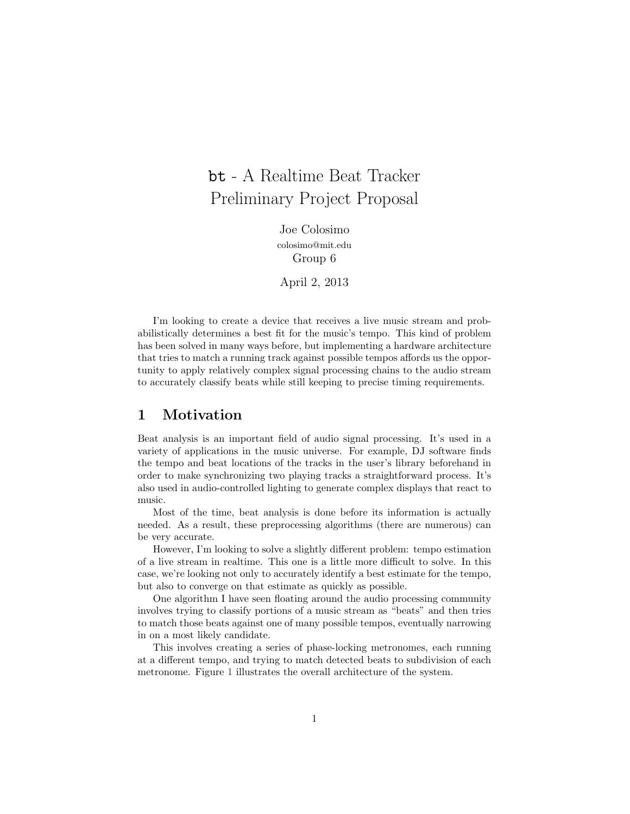# bt - A Realtime Beat Tracker Preliminary Project Proposal

Joe Colosimo colosimo@mit.edu Group 6

April 2, 2013

I'm looking to create a device that receives a live music stream and probabilistically determines a best fit for the music's tempo. This kind of problem has been solved in many ways before, but implementing a hardware architecture that tries to match a running track against possible tempos affords us the opportunity to apply relatively complex signal processing chains to the audio stream to accurately classify beats while still keeping to precise timing requirements.

#### **1 Motivation**

Beat analysis is an important field of audio signal processing. It's used in a variety of applications in the music universe. For example, DJ software finds the tempo and beat locations of the tracks in the user's library beforehand in order to make synchronizing two playing tracks a straightforward process. It's also used in audio-controlled lighting to generate complex displays that react to music.

Most of the time, beat analysis is done before its information is actually needed. As a result, these preprocessing algorithms (there are numerous) can be very accurate.

However, I'm looking to solve a slightly different problem: tempo estimation of a live stream in realtime. This one is a little more difficult to solve. In this case, we're looking not only to accurately identify a best estimate for the tempo, but also to converge on that estimate as quickly as possible.

One algorithm I have seen floating around the audio processing community involves trying to classify portions of a music stream as "beats" and then tries to match those beats against one of many possible tempos, eventually narrowing in on a most likely candidate.

This involves creating a series of phase-locking metronomes, each running at a different tempo, and trying to match detected beats to subdivision of each metronome. Figure [1](#page-1-0) illustrates the overall architecture of the system.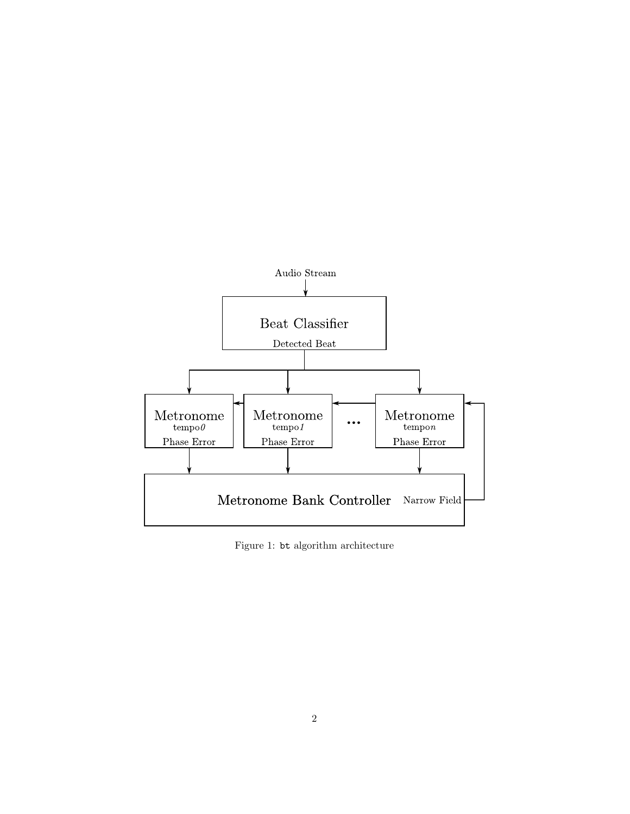

<span id="page-1-0"></span>Figure 1: bt algorithm architecture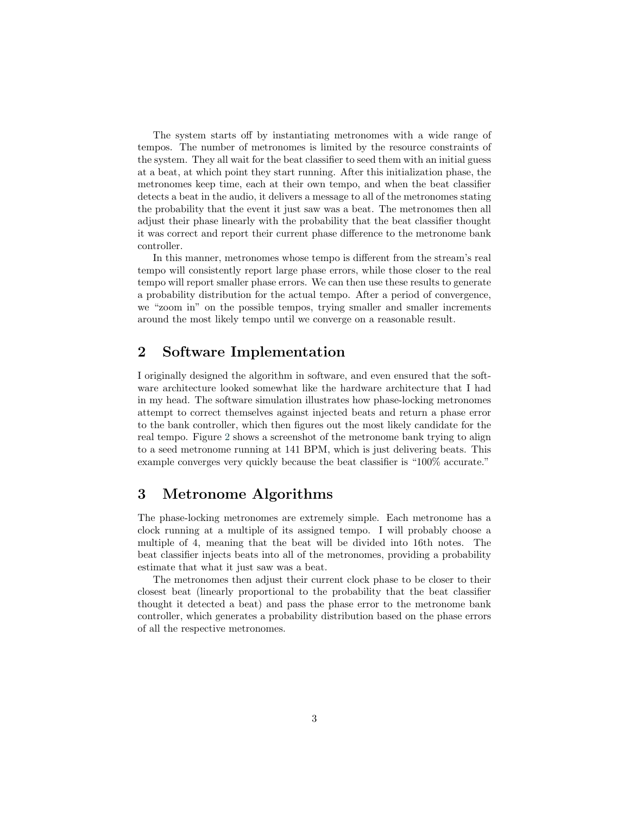The system starts off by instantiating metronomes with a wide range of tempos. The number of metronomes is limited by the resource constraints of the system. They all wait for the beat classifier to seed them with an initial guess at a beat, at which point they start running. After this initialization phase, the metronomes keep time, each at their own tempo, and when the beat classifier detects a beat in the audio, it delivers a message to all of the metronomes stating the probability that the event it just saw was a beat. The metronomes then all adjust their phase linearly with the probability that the beat classifier thought it was correct and report their current phase difference to the metronome bank controller.

In this manner, metronomes whose tempo is different from the stream's real tempo will consistently report large phase errors, while those closer to the real tempo will report smaller phase errors. We can then use these results to generate a probability distribution for the actual tempo. After a period of convergence, we "zoom in" on the possible tempos, trying smaller and smaller increments around the most likely tempo until we converge on a reasonable result.

# **2 Software Implementation**

I originally designed the algorithm in software, and even ensured that the software architecture looked somewhat like the hardware architecture that I had in my head. The software simulation illustrates how phase-locking metronomes attempt to correct themselves against injected beats and return a phase error to the bank controller, which then figures out the most likely candidate for the real tempo. Figure [2](#page-3-0) shows a screenshot of the metronome bank trying to align to a seed metronome running at 141 BPM, which is just delivering beats. This example converges very quickly because the beat classifier is "100% accurate."

## **3 Metronome Algorithms**

The phase-locking metronomes are extremely simple. Each metronome has a clock running at a multiple of its assigned tempo. I will probably choose a multiple of 4, meaning that the beat will be divided into 16th notes. The beat classifier injects beats into all of the metronomes, providing a probability estimate that what it just saw was a beat.

The metronomes then adjust their current clock phase to be closer to their closest beat (linearly proportional to the probability that the beat classifier thought it detected a beat) and pass the phase error to the metronome bank controller, which generates a probability distribution based on the phase errors of all the respective metronomes.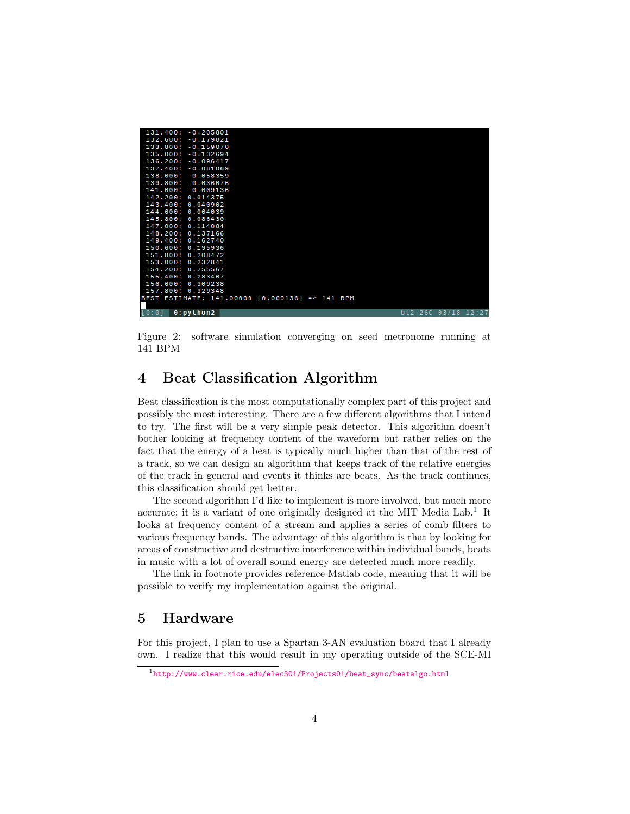| [0:0]<br>$0:$ python2                          |  |  |  | $b$ t2 26C 03/18 12:27 |  |
|------------------------------------------------|--|--|--|------------------------|--|
|                                                |  |  |  |                        |  |
| BEST ESTIMATE: 141.00000 [0.009136] => 141 BPM |  |  |  |                        |  |
| 157.800: 0.329348                              |  |  |  |                        |  |
| 156.600: 0.309238                              |  |  |  |                        |  |
| 155.400: 0.283467                              |  |  |  |                        |  |
| 154.200: 0.255567                              |  |  |  |                        |  |
| 151.800: 0.208472<br>153.000: 0.232841         |  |  |  |                        |  |
| 150.600: 0.195936                              |  |  |  |                        |  |
| 149.400: 0.162740                              |  |  |  |                        |  |
| 148.200: 0.137166                              |  |  |  |                        |  |
| 147.000: 0.114084                              |  |  |  |                        |  |
| 145,800: 0.086430                              |  |  |  |                        |  |
| 144.600: 0.064039                              |  |  |  |                        |  |
| 143.400: 0.040902                              |  |  |  |                        |  |
| 142.200: 0.014375                              |  |  |  |                        |  |
| 141.000: -0.009136                             |  |  |  |                        |  |
| 139.800: -0.036076                             |  |  |  |                        |  |
| $138.600: -0.058359$                           |  |  |  |                        |  |
| 137.400: -0.081069                             |  |  |  |                        |  |
| 136.200: -0.096417                             |  |  |  |                        |  |
| 135.000: -0.132694                             |  |  |  |                        |  |
| $133.800: -0.159070$                           |  |  |  |                        |  |
| 132.600: -0.179821                             |  |  |  |                        |  |
| 131.400: -0.205801                             |  |  |  |                        |  |
|                                                |  |  |  |                        |  |

<span id="page-3-0"></span>Figure 2: software simulation converging on seed metronome running at 141 BPM

## **4 Beat Classification Algorithm**

Beat classification is the most computationally complex part of this project and possibly the most interesting. There are a few different algorithms that I intend to try. The first will be a very simple peak detector. This algorithm doesn't bother looking at frequency content of the waveform but rather relies on the fact that the energy of a beat is typically much higher than that of the rest of a track, so we can design an algorithm that keeps track of the relative energies of the track in general and events it thinks are beats. As the track continues, this classification should get better.

The second algorithm I'd like to implement is more involved, but much more accurate; it is a variant of one originally designed at the MIT Media  $Lab<sup>1</sup>$  $Lab<sup>1</sup>$  $Lab<sup>1</sup>$ . It looks at frequency content of a stream and applies a series of comb filters to various frequency bands. The advantage of this algorithm is that by looking for areas of constructive and destructive interference within individual bands, beats in music with a lot of overall sound energy are detected much more readily.

The link in footnote provides reference Matlab code, meaning that it will be possible to verify my implementation against the original.

## **5 Hardware**

For this project, I plan to use a Spartan 3-AN evaluation board that I already own. I realize that this would result in my operating outside of the SCE-MI

<span id="page-3-1"></span><sup>1</sup>[http://www.clear.rice.edu/elec301/Projects01/beat\\_sync/beatalgo.html](http://www.clear.rice.edu/elec301/Projects01/beat_sync/beatalgo.html)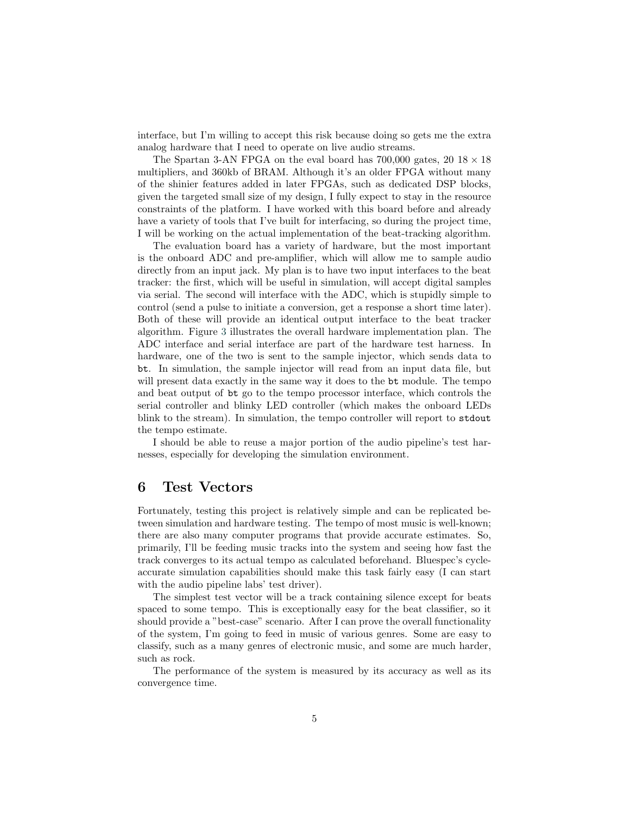interface, but I'm willing to accept this risk because doing so gets me the extra analog hardware that I need to operate on live audio streams.

The Spartan 3-AN FPGA on the eval board has 700,000 gates, 20 18 *×* 18 multipliers, and 360kb of BRAM. Although it's an older FPGA without many of the shinier features added in later FPGAs, such as dedicated DSP blocks, given the targeted small size of my design, I fully expect to stay in the resource constraints of the platform. I have worked with this board before and already have a variety of tools that I've built for interfacing, so during the project time, I will be working on the actual implementation of the beat-tracking algorithm.

The evaluation board has a variety of hardware, but the most important is the onboard ADC and pre-amplifier, which will allow me to sample audio directly from an input jack. My plan is to have two input interfaces to the beat tracker: the first, which will be useful in simulation, will accept digital samples via serial. The second will interface with the ADC, which is stupidly simple to control (send a pulse to initiate a conversion, get a response a short time later). Both of these will provide an identical output interface to the beat tracker algorithm. Figure [3](#page-5-0) illustrates the overall hardware implementation plan. The ADC interface and serial interface are part of the hardware test harness. In hardware, one of the two is sent to the sample injector, which sends data to bt. In simulation, the sample injector will read from an input data file, but will present data exactly in the same way it does to the bt module. The tempo and beat output of bt go to the tempo processor interface, which controls the serial controller and blinky LED controller (which makes the onboard LEDs blink to the stream). In simulation, the tempo controller will report to stdout the tempo estimate.

I should be able to reuse a major portion of the audio pipeline's test harnesses, especially for developing the simulation environment.

#### **6 Test Vectors**

Fortunately, testing this project is relatively simple and can be replicated between simulation and hardware testing. The tempo of most music is well-known; there are also many computer programs that provide accurate estimates. So, primarily, I'll be feeding music tracks into the system and seeing how fast the track converges to its actual tempo as calculated beforehand. Bluespec's cycleaccurate simulation capabilities should make this task fairly easy (I can start with the audio pipeline labs' test driver).

The simplest test vector will be a track containing silence except for beats spaced to some tempo. This is exceptionally easy for the beat classifier, so it should provide a "best-case" scenario. After I can prove the overall functionality of the system, I'm going to feed in music of various genres. Some are easy to classify, such as a many genres of electronic music, and some are much harder, such as rock.

The performance of the system is measured by its accuracy as well as its convergence time.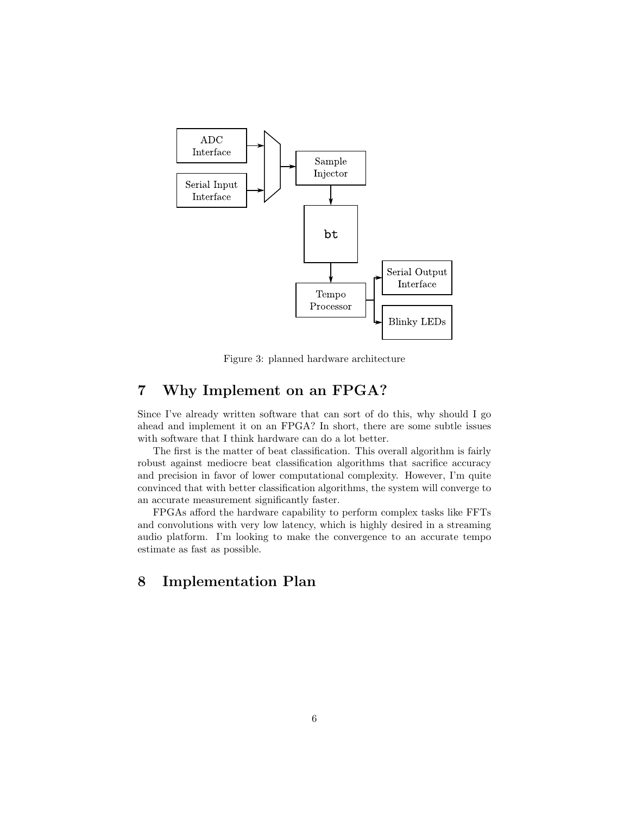

<span id="page-5-0"></span>Figure 3: planned hardware architecture

## **7 Why Implement on an FPGA?**

Since I've already written software that can sort of do this, why should I go ahead and implement it on an FPGA? In short, there are some subtle issues with software that I think hardware can do a lot better.

The first is the matter of beat classification. This overall algorithm is fairly robust against mediocre beat classification algorithms that sacrifice accuracy and precision in favor of lower computational complexity. However, I'm quite convinced that with better classification algorithms, the system will converge to an accurate measurement significantly faster.

FPGAs afford the hardware capability to perform complex tasks like FFTs and convolutions with very low latency, which is highly desired in a streaming audio platform. I'm looking to make the convergence to an accurate tempo estimate as fast as possible.

# **8 Implementation Plan**